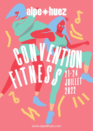2022

**SALLEY FOR** 

alpe\*huez

www.alpedhuez.com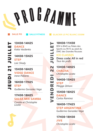## **P R O G AAMME**

**SALLE FITNESS**

**SALLE PO**

13H30-14H25<br>
Mance<br>
Katia Vasilenko<br>
14H30-15H25<br>
STEP<br>
Loïc Shady<br>
The Ballares<br>
16H30-17H25<br>
STEP<br>
Guillermo Gonzalez Veaa

**17H30-18H25SALSA MIX SAMBA**

*Coralie et Christophe Licata*

## **GLACIER LE PIC BLANC 3330M**

<u>10H30-11H30</u><br>
I RDV à 8h45 au Palais des<br>
Sports ou 9h15 au pied du<br>
DMC des Grandes Rousses<br>
ICE CLASSES<br>
Dress code: All in red<br>
Tous les profs<br>
13H30-14H25<br>
CHACHA<br>
Christophe Licata<br>
14H30-15H25<br>
STEP<br>
Meigge Zehan RDV à 8h45 au Palais des Sports ou 9h15 au pied du DMC des Grandes Rousses

**16H30-17H25STEP ARGENTINA***Guillermo Gonzalez Vega*

**17H30-18H30JIVE***Christophe Licata*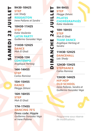**HEREAN STEP**<br>
JONES STEP<br>
Loïc Shady<br>
Interne Pallares et Sandra<br>
10H30-11H25<br>
STEP<br>
Katia Vasilenko<br>
LATIN PARTY<br>
Guillermo Gonzalez Veg<br>
11H30-12H25<br>
DANCE<br>
Moh El Ghali<br>
11H30-12H25<br>
Moh El Ghali<br>
11H30-13H<br>
CONTEMPO **LATIN PARTY***Guillermo Gonzalez Vega*

*Angélique Hertzog*

**14H-14H55STEP***Carlos Ramirez*

**15H-15H55DANCE***Meigge Zehani*

**16H-16H55STEP***Moh El Ghali*

**17H-17H55DANCING 70'S**

**Dress code: Hippie** *Guillermo Gonzalez Vega et Irene Pallares*

- 
- -
	-
	- -
- **EXAMPLE STEP**<br> **EXAMPLE STEP**<br>
Meigge Zehani<br>
PILATES<br>
CHORÉGRAPHIÉS<br>
Katia Vasilenko<br>
10H-10H55<br>
STEP<br>
Moh El Ghali<br>
TEAM DANCE<br>
LA TEAM DANCE<br>
Angélique Hertzog et<br>
Sandra<br>
11H30-12H25<br>
DANCEHALL<br>
Loïc Shady<br>
12H30-13H2 **TEAM DANCE***Angélique Hertzog et* 
	- *Sandra*
	- -
	- *Carlos Ramirez*

**13H30-14H25HIP HOP OLD SCHOOL**

*Irene Pallares, Sandra et Guillermo Gonzalez Vega*



Programme sous réserve de modifications.